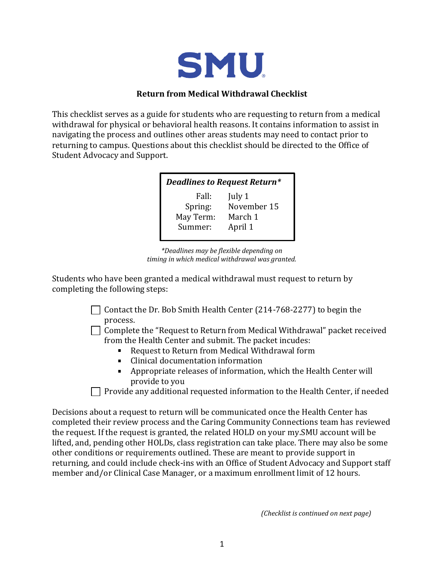

## **Return from Medical Withdrawal Checklist**

This checklist serves as a guide for students who are requesting to return from a medical withdrawal for physical or behavioral health reasons. It contains information to assist in navigating the process and outlines other areas students may need to contact prior to returning to campus. Questions about this checklist should be directed to the Office of Student Advocacy and Support.

| <b>Deadlines to Request Return*</b> |             |
|-------------------------------------|-------------|
| Fall:                               | July 1      |
| Spring:                             | November 15 |
| May Term:                           | March 1     |
| Summer:                             | April 1     |
|                                     |             |

*\*Deadlines may be flexible depending on timing in which medical withdrawal was granted.*

Students who have been granted a medical withdrawal must request to return by completing the following steps:

> Contact the Dr. Bob Smith Health Center (214-768-2277) to begin the process.

 $\Box$  Complete the "Request to Return from Medical Withdrawal" packet received from the Health Center and submit. The packet incudes:

- $\mathbf{u}$  . Request to Return from Medical Withdrawal form
- Clinical documentation information
- Appropriate releases of information, which the Health Center will provide to you

Provide any additional requested information to the Health Center, if needed

Decisions about a request to return will be communicated once the Health Center has completed their review process and the Caring Community Connections team has reviewed the request. If the request is granted, the related HOLD on your my.SMU account will be lifted, and, pending other HOLDs, class registration can take place. There may also be some other conditions or requirements outlined. These are meant to provide support in returning, and could include check-ins with an Office of Student Advocacy and Support staff member and/or Clinical Case Manager, or a maximum enrollment limit of 12 hours.

*(Checklist is continued on next page)*